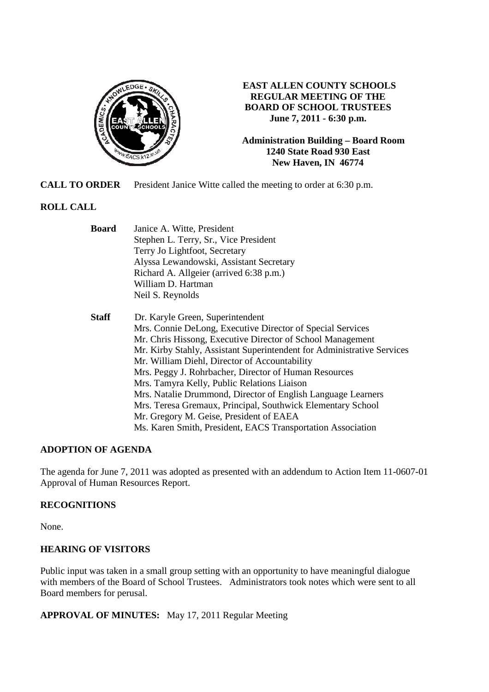

**EAST ALLEN COUNTY SCHOOLS REGULAR MEETING OF THE BOARD OF SCHOOL TRUSTEES June 7, 2011 - 6:30 p.m.** 

**Administration Building – Board Room 1240 State Road 930 East New Haven, IN 46774**

**CALL TO ORDER** President Janice Witte called the meeting to order at 6:30 p.m.

# **ROLL CALL**

| <b>Board</b> | Janice A. Witte, President<br>Stephen L. Terry, Sr., Vice President    |  |  |  |
|--------------|------------------------------------------------------------------------|--|--|--|
|              |                                                                        |  |  |  |
|              | Terry Jo Lightfoot, Secretary                                          |  |  |  |
|              | Alyssa Lewandowski, Assistant Secretary                                |  |  |  |
|              | Richard A. Allgeier (arrived 6:38 p.m.)                                |  |  |  |
|              | William D. Hartman                                                     |  |  |  |
|              | Neil S. Reynolds                                                       |  |  |  |
| <b>Staff</b> | Dr. Karyle Green, Superintendent                                       |  |  |  |
|              | Mrs. Connie DeLong, Executive Director of Special Services             |  |  |  |
|              | Mr. Chris Hissong, Executive Director of School Management             |  |  |  |
|              | Mr. Kirby Stahly, Assistant Superintendent for Administrative Services |  |  |  |
|              | Mr. William Diehl, Director of Accountability                          |  |  |  |
|              | Mrs. Peggy J. Rohrbacher, Director of Human Resources                  |  |  |  |
|              | Mrs. Tamyra Kelly, Public Relations Liaison                            |  |  |  |
|              | Mrs. Natalie Drummond, Director of English Language Learners           |  |  |  |
|              | Mrs. Teresa Gremaux, Principal, Southwick Elementary School            |  |  |  |
|              | Mr. Gregory M. Geise, President of EAEA                                |  |  |  |
|              | Ms. Karen Smith, President, EACS Transportation Association            |  |  |  |

## **ADOPTION OF AGENDA**

The agenda for June 7, 2011 was adopted as presented with an addendum to Action Item 11-0607-01 Approval of Human Resources Report.

## **RECOGNITIONS**

None.

## **HEARING OF VISITORS**

Public input was taken in a small group setting with an opportunity to have meaningful dialogue with members of the Board of School Trustees. Administrators took notes which were sent to all Board members for perusal.

**APPROVAL OF MINUTES:** May 17, 2011 Regular Meeting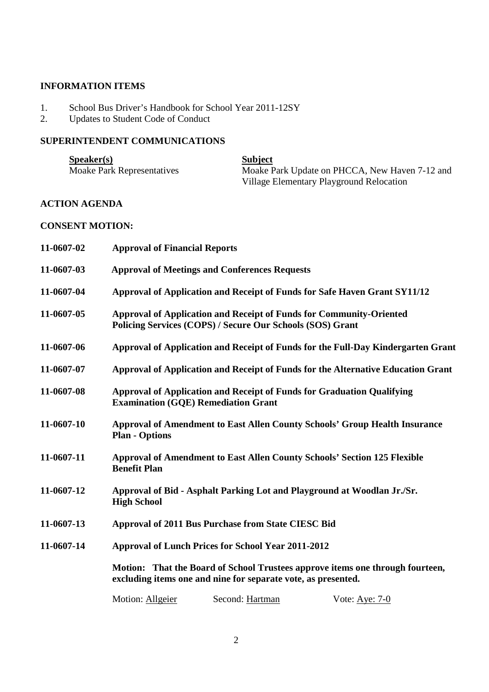## **INFORMATION ITEMS**

- 1. School Bus Driver's Handbook for School Year 2011-12SY
- 2. Updates to Student Code of Conduct

# **SUPERINTENDENT COMMUNICATIONS**

| $S\$ {peaker}(s)                  | <b>Subject</b>                                 |
|-----------------------------------|------------------------------------------------|
| <b>Moake Park Representatives</b> | Moake Park Update on PHCCA, New Haven 7-12 and |
|                                   | Village Elementary Playground Relocation       |

# **ACTION AGENDA**

### **CONSENT MOTION:**

| 11-0607-02                                                                                                                                     | <b>Approval of Financial Reports</b>                                                                                                    |  |  |  |  |
|------------------------------------------------------------------------------------------------------------------------------------------------|-----------------------------------------------------------------------------------------------------------------------------------------|--|--|--|--|
| 11-0607-03                                                                                                                                     | <b>Approval of Meetings and Conferences Requests</b>                                                                                    |  |  |  |  |
| 11-0607-04                                                                                                                                     | Approval of Application and Receipt of Funds for Safe Haven Grant SY11/12                                                               |  |  |  |  |
| 11-0607-05                                                                                                                                     | <b>Approval of Application and Receipt of Funds for Community-Oriented</b><br>Policing Services (COPS) / Secure Our Schools (SOS) Grant |  |  |  |  |
| 11-0607-06                                                                                                                                     | Approval of Application and Receipt of Funds for the Full-Day Kindergarten Grant                                                        |  |  |  |  |
| 11-0607-07                                                                                                                                     | Approval of Application and Receipt of Funds for the Alternative Education Grant                                                        |  |  |  |  |
| 11-0607-08                                                                                                                                     | Approval of Application and Receipt of Funds for Graduation Qualifying<br><b>Examination (GQE) Remediation Grant</b>                    |  |  |  |  |
| 11-0607-10                                                                                                                                     | <b>Approval of Amendment to East Allen County Schools' Group Health Insurance</b><br><b>Plan - Options</b>                              |  |  |  |  |
| 11-0607-11                                                                                                                                     | <b>Approval of Amendment to East Allen County Schools' Section 125 Flexible</b><br><b>Benefit Plan</b>                                  |  |  |  |  |
| 11-0607-12                                                                                                                                     | Approval of Bid - Asphalt Parking Lot and Playground at Woodlan Jr./Sr.<br><b>High School</b>                                           |  |  |  |  |
| 11-0607-13                                                                                                                                     | Approval of 2011 Bus Purchase from State CIESC Bid                                                                                      |  |  |  |  |
| 11-0607-14                                                                                                                                     | <b>Approval of Lunch Prices for School Year 2011-2012</b>                                                                               |  |  |  |  |
| Motion: That the Board of School Trustees approve items one through fourteen,<br>excluding items one and nine for separate vote, as presented. |                                                                                                                                         |  |  |  |  |
|                                                                                                                                                | Second: Hartman<br>Motion: Allgeier<br>Vote: Aye: $7-0$                                                                                 |  |  |  |  |